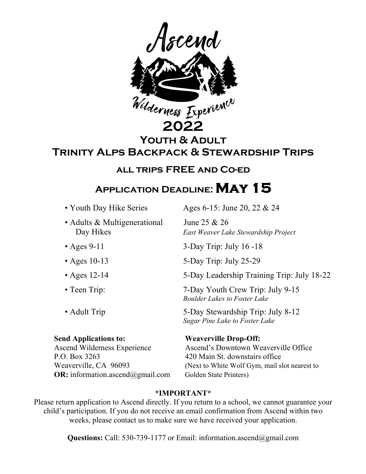

**Youth & Adult** 

**Trinity Alps Backpack & Stewardship Trips** 

# **all trips FREE and Co-ed**

# **Application Deadline:May 15**

• Adults & Multigenerational June 25 & 26

P.O. Box 3263 420 Main St. downstairs office **OR:** information.ascend@gmail.com Golden State Printers)

• Youth Day Hike Series Ages 6-15: June 20, 22  $& 24$ 

Day Hikes *East Weaver Lake Stewardship Project*

• Ages 9-11 3-Day Trip: July 16 -18

• Ages 10-13 5-Day Trip: July 25-29

• Ages 12-14 5-Day Leadership Training Trip: July 18-22

• Teen Trip: 7-Day Youth Crew Trip: July 9-15 *Boulder Lakes to Foster Lake*

• Adult Trip 5-Day Stewardship Trip: July 8-12 *Sugar Pine Lake to Foster Lake*

**Send Applications to: Weaverville Drop-Off:** Ascend Wilderness Experience Ascend's Downtown Weaverville Office Weaverville, CA 96093 (Next to White Wolf Gym, mail slot nearest to

## **\*IMPORTANT\***

Please return application to Ascend directly. If you return to a school, we cannot guarantee your child's participation. If you do not receive an email confirmation from Ascend within two weeks, please contact us to make sure we have received your application.

**Questions:** Call: 530-739-1177 or Email: information.ascend@gmail.com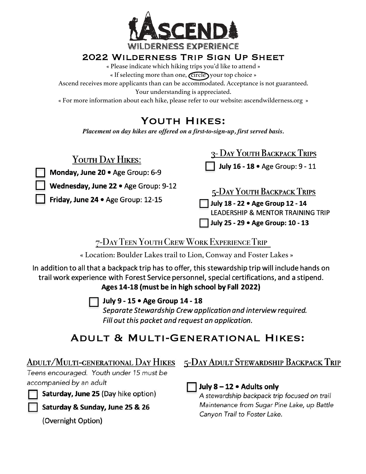

# 2022 Wilderness Trip Sign Up Sheet

« Please indicate which hiking trips you'd like to attend »

« If selecting more than one, Circle your top choice »

Ascend receives more applicants than can be accommodated. Acceptance is not guaranteed.

Your understanding is appreciated.

« For more information about each hike, please refer to our website: ascendwilderness.org »

# Youth Hikes:

*Placement on day hikes are offered on a first-to-sign-up, first served basis.*

| YOUTH DAY HIKES:                                                           | 3- DAY YOUTH BACKPACK TRIPS                                                                                                                         |
|----------------------------------------------------------------------------|-----------------------------------------------------------------------------------------------------------------------------------------------------|
| Monday, June 20 . Age Group: 6-9                                           | July 16 - 18 · Age Group: 9 - 11                                                                                                                    |
| Wednesday, June 22 . Age Group: 9-12<br>Friday, June 24 . Age Group: 12-15 | 5-DAY YOUTH BACKPACK TRIPS<br>July 18 - 22 . Age Group 12 - 14<br><b>LEADERSHIP &amp; MENTOR TRAINING TRIP</b><br>July 25 - 29 . Age Group: 10 - 13 |

# 7-DayTeen YouthCrewWorkExperienceTrip

« Location: Boulder Lakes trail to Lion, Conway and Foster Lakes »

In addition to all that a backpack trip has to offer, this stewardship trip will include hands on trail work experience with Forest Service personnel, special certifications, and a stipend.

Ages 14-18 (must be in high school by Fall 2022)

## July 9 - 15 . Age Group 14 - 18

Separate Stewardship Crew application and interview required. Fill out this packet and request an application.

# Adult & Multi-Generational Hikes:

Teens encouraged. Youth under 15 must be accompanied by an adult

Saturday, June 25 (Day hike option)

Saturday & Sunday, June 25 & 26

(Overnight Option)

# ADULT/MULTI-GENERATIONAL DAY HIKES 5-DAY ADULT STEWARDSHIP BACKPACK TRIP

 $\Box$  July 8 – 12  $\bullet$  Adults only

A stewardship backpack trip focused on trail Maintenance from Sugar Pine Lake, up Battle Canyon Trail to Foster Lake.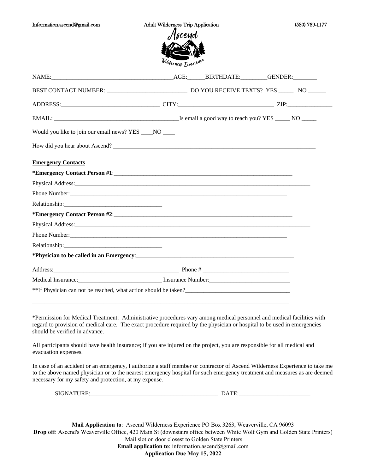| Information.ascend@gmail.com | <b>Adult Wilderness Trip Application</b> | (530) 739-1177 |
|------------------------------|------------------------------------------|----------------|
|                              | Ascend                                   |                |
|                              | <b>MORTH</b>                             |                |

Wilderness Experience

| ADDRESS: ZIP: ZIP:                                                                                                                                                                                                             |  |  |
|--------------------------------------------------------------------------------------------------------------------------------------------------------------------------------------------------------------------------------|--|--|
|                                                                                                                                                                                                                                |  |  |
| Would you like to join our email news? YES ____ NO ____                                                                                                                                                                        |  |  |
| How did you hear about Ascend?                                                                                                                                                                                                 |  |  |
| <b>Emergency Contacts</b>                                                                                                                                                                                                      |  |  |
| *Emergency Contact Person #1:                                                                                                                                                                                                  |  |  |
| Physical Address: No. 2016. The Second Second Second Second Second Second Second Second Second Second Second Second Second Second Second Second Second Second Second Second Second Second Second Second Second Second Second S |  |  |
|                                                                                                                                                                                                                                |  |  |
|                                                                                                                                                                                                                                |  |  |
| *Emergency Contact Person #2:                                                                                                                                                                                                  |  |  |
| Physical Address: No. 2016. The Contract of the Contract of the Contract of the Contract of the Contract of the Contract of the Contract of the Contract of the Contract of the Contract of the Contract of the Contract of th |  |  |
|                                                                                                                                                                                                                                |  |  |
|                                                                                                                                                                                                                                |  |  |
|                                                                                                                                                                                                                                |  |  |
|                                                                                                                                                                                                                                |  |  |
|                                                                                                                                                                                                                                |  |  |
|                                                                                                                                                                                                                                |  |  |

\*Permission for Medical Treatment: Administrative procedures vary among medical personnel and medical facilities with regard to provision of medical care. The exact procedure required by the physician or hospital to be used in emergencies should be verified in advance.

All participants should have health insurance; if you are injured on the project, you are responsible for all medical and evacuation expenses.

In case of an accident or an emergency, I authorize a staff member or contractor of Ascend Wilderness Experience to take me to the above named physician or to the nearest emergency hospital for such emergency treatment and measures as are deemed necessary for my safety and protection, at my expense.

| SIGN | "י |  |
|------|----|--|
|      |    |  |

**Mail Application to**: Ascend Wilderness Experience PO Box 3263, Weaverville, CA 96093 **Drop off**: Ascend's Weaverville Office, 420 Main St (downstairs office between White Wolf Gym and Golden State Printers) Mail slot on door closest to Golden State Printers **Email application to**: information.ascend@gmail.com **Application Due May 15, 2022**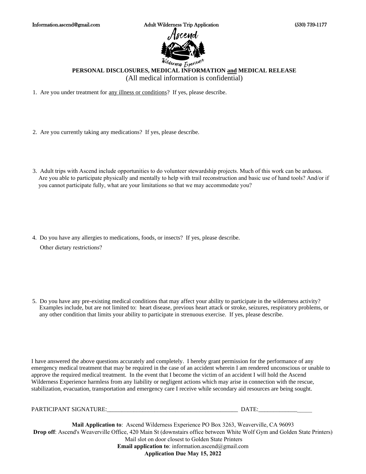

### *Wilderness* Experient **PERSONAL DISCLOSURES, MEDICAL INFORMATION and MEDICAL RELEASE**  (All medical information is confidential)

1. Are you under treatment for any illness or conditions? If yes, please describe.

- 2. Are you currently taking any medications? If yes, please describe.
- 3. Adult trips with Ascend include opportunities to do volunteer stewardship projects. Much of this work can be arduous. Are you able to participate physically and mentally to help with trail reconstruction and basic use of hand tools? And/or if you cannot participate fully, what are your limitations so that we may accommodate you?

4. Do you have any allergies to medications, foods, or insects? If yes, please describe. Other dietary restrictions?

5. Do you have any pre-existing medical conditions that may affect your ability to participate in the wilderness activity? Examples include, but are not limited to: heart disease, previous heart attack or stroke, seizures, respiratory problems, or any other condition that limits your ability to participate in strenuous exercise. If yes, please describe.

I have answered the above questions accurately and completely. I hereby grant permission for the performance of any emergency medical treatment that may be required in the case of an accident wherein I am rendered unconscious or unable to approve the required medical treatment. In the event that I become the victim of an accident I will hold the Ascend Wilderness Experience harmless from any liability or negligent actions which may arise in connection with the rescue, stabilization, evacuation, transportation and emergency care I receive while secondary aid resources are being sought.

| PARTICIPANT SIGNATURE: | <b>TIME</b> |  |
|------------------------|-------------|--|
|                        |             |  |

**Mail Application to**: Ascend Wilderness Experience PO Box 3263, Weaverville, CA 96093 **Drop off**: Ascend's Weaverville Office, 420 Main St (downstairs office between White Wolf Gym and Golden State Printers) Mail slot on door closest to Golden State Printers **Email application to:** information.ascend@gmail.com **Application Due May 15, 2022**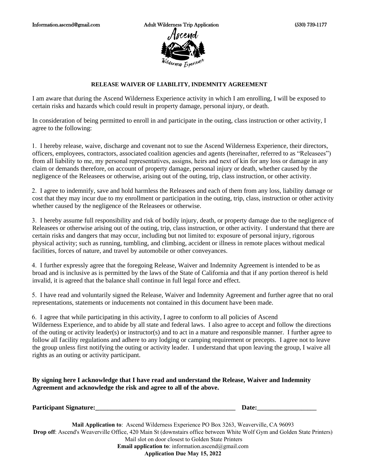### **RELEASE WAIVER OF LIABILITY, INDEMNITY AGREEMENT**

I am aware that during the Ascend Wilderness Experience activity in which I am enrolling, I will be exposed to certain risks and hazards which could result in property damage, personal injury, or death.

In consideration of being permitted to enroll in and participate in the outing, class instruction or other activity, I agree to the following:

1. I hereby release, waive, discharge and covenant not to sue the Ascend Wilderness Experience, their directors, officers, employees, contractors, associated coalition agencies and agents (hereinafter, referred to as "Releasees") from all liability to me, my personal representatives, assigns, heirs and next of kin for any loss or damage in any claim or demands therefore, on account of property damage, personal injury or death, whether caused by the negligence of the Releasees or otherwise, arising out of the outing, trip, class instruction, or other activity.

2. I agree to indemnify, save and hold harmless the Releasees and each of them from any loss, liability damage or cost that they may incur due to my enrollment or participation in the outing, trip, class, instruction or other activity whether caused by the negligence of the Releasees or otherwise.

3. I hereby assume full responsibility and risk of bodily injury, death, or property damage due to the negligence of Releasees or otherwise arising out of the outing, trip, class instruction, or other activity. I understand that there are certain risks and dangers that may occur, including but not limited to: exposure of personal injury, rigorous physical activity; such as running, tumbling, and climbing, accident or illness in remote places without medical facilities, forces of nature, and travel by automobile or other conveyances.

4. I further expressly agree that the foregoing Release, Waiver and Indemnity Agreement is intended to be as broad and is inclusive as is permitted by the laws of the State of California and that if any portion thereof is held invalid, it is agreed that the balance shall continue in full legal force and effect.

5. I have read and voluntarily signed the Release, Waiver and Indemnity Agreement and further agree that no oral representations, statements or inducements not contained in this document have been made.

6. I agree that while participating in this activity, I agree to conform to all policies of Ascend

Wilderness Experience, and to abide by all state and federal laws. I also agree to accept and follow the directions of the outing or activity leader(s) or instructor(s) and to act in a mature and responsible manner. I further agree to follow all facility regulations and adhere to any lodging or camping requirement or precepts. I agree not to leave the group unless first notifying the outing or activity leader. I understand that upon leaving the group, I waive all rights as an outing or activity participant.

**By signing here I acknowledge that I have read and understand the Release, Waiver and Indemnity Agreement and acknowledge the risk and agree to all of the above.** 

| <b>Participant Signature:</b> | )ate: |
|-------------------------------|-------|
|                               |       |

**Mail Application to**: Ascend Wilderness Experience PO Box 3263, Weaverville, CA 96093 **Drop off**: Ascend's Weaverville Office, 420 Main St (downstairs office between White Wolf Gym and Golden State Printers) Mail slot on door closest to Golden State Printers **Email application to**: information.ascend@gmail.com **Application Due May 15, 2022**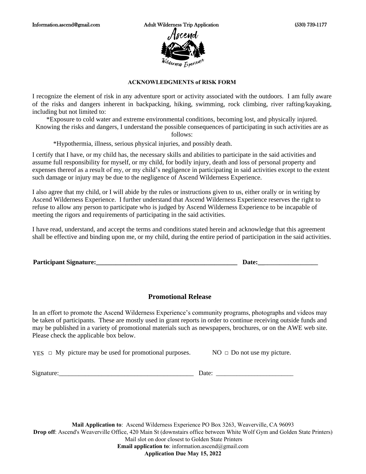### **ACKNOWLEDGMENTS of RISK FORM**

I recognize the element of risk in any adventure sport or activity associated with the outdoors. I am fully aware of the risks and dangers inherent in backpacking, hiking, swimming, rock climbing, river rafting/kayaking, including but not limited to:

\*Exposure to cold water and extreme environmental conditions, becoming lost, and physically injured.

Knowing the risks and dangers, I understand the possible consequences of participating in such activities are as follows:

\*Hypothermia, illness, serious physical injuries, and possibly death.

I certify that I have, or my child has, the necessary skills and abilities to participate in the said activities and assume full responsibility for myself, or my child, for bodily injury, death and loss of personal property and expenses thereof as a result of my, or my child's negligence in participating in said activities except to the extent such damage or injury may be due to the negligence of Ascend Wilderness Experience.

I also agree that my child, or I will abide by the rules or instructions given to us, either orally or in writing by Ascend Wilderness Experience. I further understand that Ascend Wilderness Experience reserves the right to refuse to allow any person to participate who is judged by Ascend Wilderness Experience to be incapable of meeting the rigors and requirements of participating in the said activities.

I have read, understand, and accept the terms and conditions stated herein and acknowledge that this agreement shall be effective and binding upon me, or my child, during the entire period of participation in the said activities.

**Participant Signature:\_\_\_\_\_\_\_\_\_\_\_\_\_\_\_\_\_\_\_\_\_\_\_\_\_\_\_\_\_\_\_\_\_\_\_\_\_\_\_\_\_\_\_ Date:\_\_\_\_\_\_\_\_\_\_\_\_\_\_\_\_\_\_\_\_** 

### **Promotional Release**

In an effort to promote the Ascend Wilderness Experience's community programs, photographs and videos may be taken of participants. These are mostly used in grant reports in order to continue receiving outside funds and may be published in a variety of promotional materials such as newspapers, brochures, or on the AWE web site. Please check the applicable box below.

YES  $□$  My picture may be used for promotional purposes. NO  $□$  Do not use my picture.

Signature:\_\_\_\_\_\_\_\_\_\_\_\_\_\_\_\_\_\_\_\_\_\_\_\_\_\_\_\_\_\_\_\_\_\_\_\_\_\_\_\_\_ Date: \_\_\_\_\_\_\_\_\_\_\_\_\_\_\_\_\_\_\_\_\_\_\_\_\_\_

**Mail Application to**: Ascend Wilderness Experience PO Box 3263, Weaverville, CA 96093

**Drop off**: Ascend's Weaverville Office, 420 Main St (downstairs office between White Wolf Gym and Golden State Printers) Mail slot on door closest to Golden State Printers **Email application to**: information.ascend@gmail.com

**Application Due May 15, 2022**